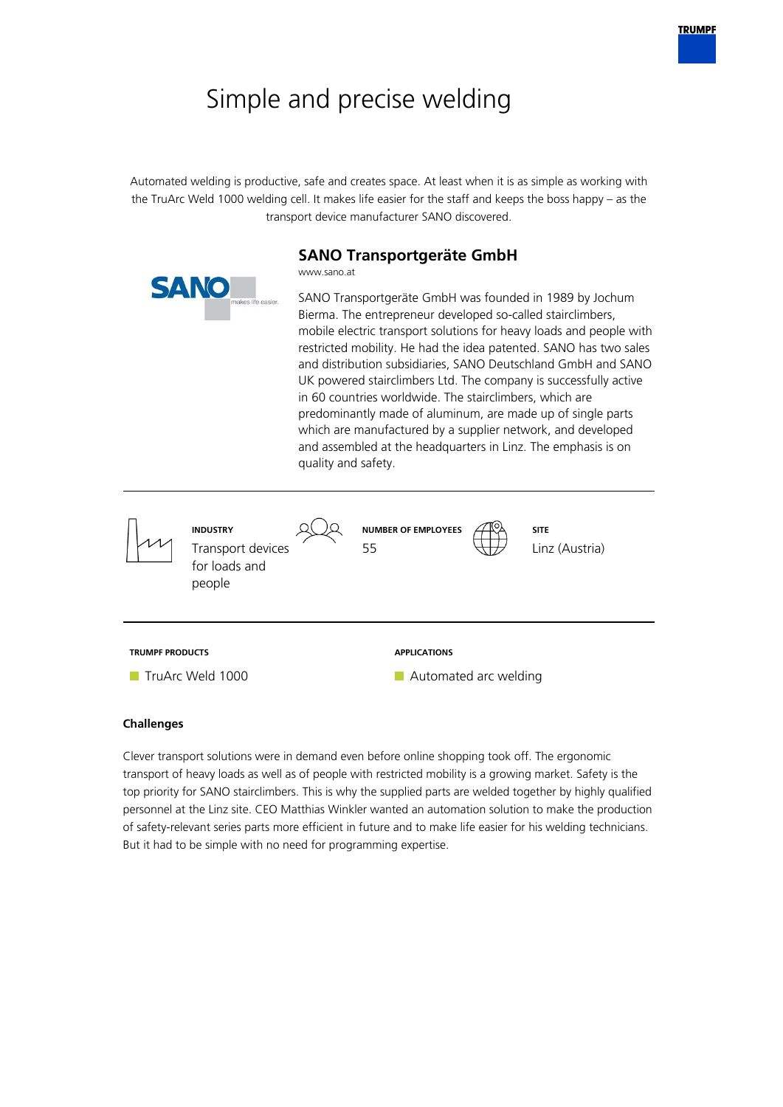# Simple and precise welding

Automated welding is productive, safe and creates space. At least when it is as simple as working with the TruArc Weld 1000 welding cell. It makes life easier for the staff and keeps the boss happy – as the transport device manufacturer SANO discovered.

# **SANO Transportgeräte GmbH**

www.sano.at SANO Transportgeräte GmbH was founded in 1989 by Jochum Bierma. The entrepreneur developed so-called stairclimbers, mobile electric transport solutions for heavy loads and people with restricted mobility. He had the idea patented. SANO has two sales and distribution subsidiaries, SANO Deutschland GmbH and SANO UK powered stairclimbers Ltd. The company is successfully active in 60 countries worldwide. The stairclimbers, which are predominantly made of aluminum, are made up of single parts which are manufactured by a supplier network, and developed and assembled at the headquarters in Linz. The emphasis is on quality and safety. **INDUSTRY** Transport devices for loads and people **NUMBER OF EMPLOYEES** 55 **SITE** Linz (Austria) **TRUMPF PRODUCTS TruArc Weld 1000 APPLICATIONS Automated arc welding** 

## **Challenges**

Clever transport solutions were in demand even before online shopping took off. The ergonomic transport of heavy loads as well as of people with restricted mobility is a growing market. Safety is the top priority for SANO stairclimbers. This is why the supplied parts are welded together by highly qualified personnel at the Linz site. CEO Matthias Winkler wanted an automation solution to make the production of safety-relevant series parts more efficient in future and to make life easier for his welding technicians. But it had to be simple with no need for programming expertise.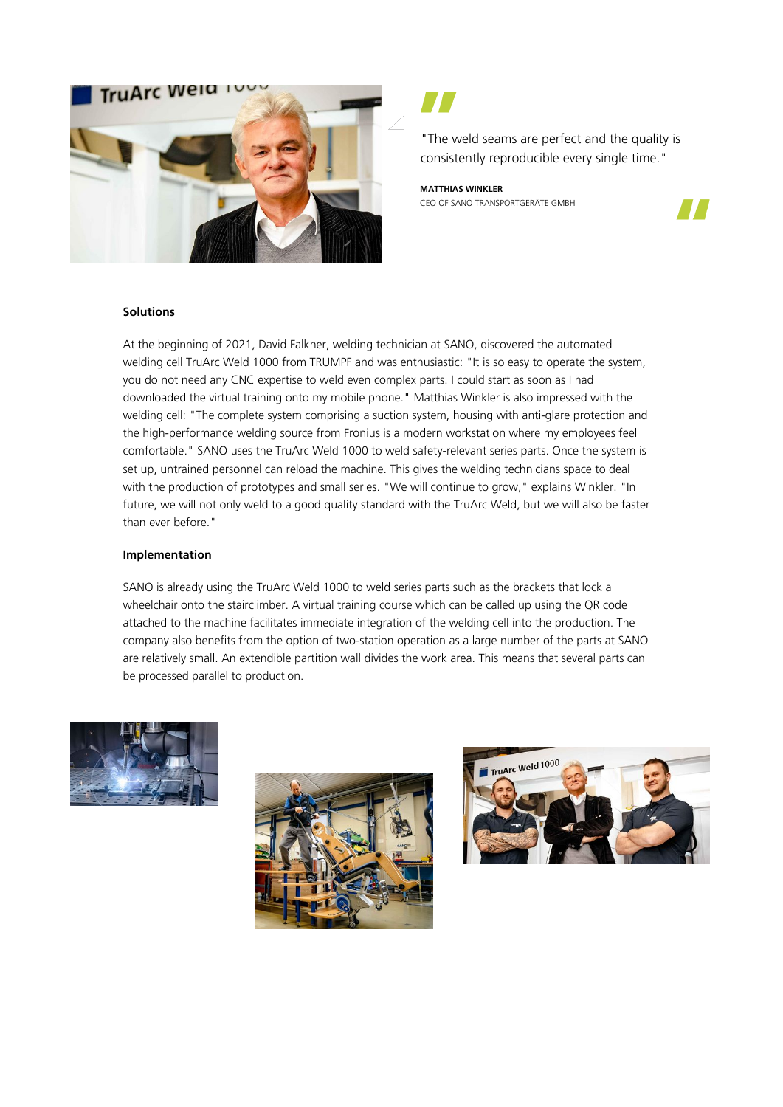

"The weld seams are perfect and the quality is consistently reproducible every single time."

**MATTHIAS WINKLER** CEO OF SANO TRANSPORTGERÄTE GMBH



#### **Solutions**

At the beginning of 2021, David Falkner, welding technician at SANO, discovered the automated welding cell TruArc Weld 1000 from TRUMPF and was enthusiastic: "It is so easy to operate the system, you do not need any CNC expertise to weld even complex parts. I could start as soon as I had downloaded the virtual training onto my mobile phone." Matthias Winkler is also impressed with the welding cell: "The complete system comprising a suction system, housing with anti-glare protection and the high-performance welding source from Fronius is a modern workstation where my employees feel comfortable." SANO uses the TruArc Weld 1000 to weld safety-relevant series parts. Once the system is set up, untrained personnel can reload the machine. This gives the welding technicians space to deal with the production of prototypes and small series. "We will continue to grow," explains Winkler. "In future, we will not only weld to a good quality standard with the TruArc Weld, but we will also be faster than ever before."

#### **Implementation**

SANO is already using the TruArc Weld 1000 to weld series parts such as the brackets that lock a wheelchair onto the stairclimber. A virtual training course which can be called up using the QR code attached to the machine facilitates immediate integration of the welding cell into the production. The company also benefits from the option of two-station operation as a large number of the parts at SANO are relatively small. An extendible partition wall divides the work area. This means that several parts can be processed parallel to production.